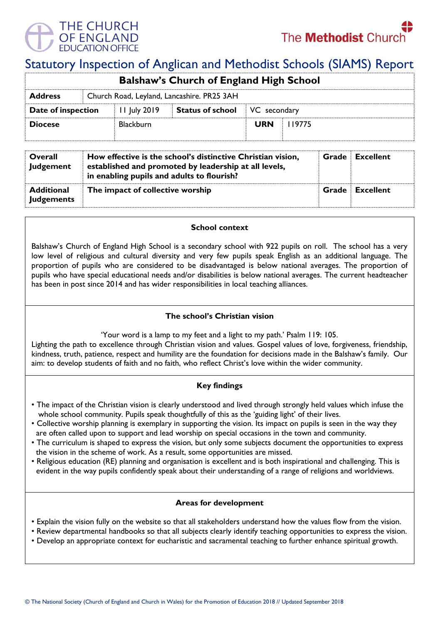

# Statutory Inspection of Anglican and Methodist Schools (SIAMS) Report

| <b>Balshaw's Church of England High School</b>               |  |                  |                         |              |         |  |  |  |
|--------------------------------------------------------------|--|------------------|-------------------------|--------------|---------|--|--|--|
| Church Road, Leyland, Lancashire. PR25 3AH<br><b>Address</b> |  |                  |                         |              |         |  |  |  |
| Date of inspection                                           |  | $11$ July 2019   | <b>Status of school</b> | VC secondary |         |  |  |  |
| <b>Diocese</b>                                               |  | <b>Blackburn</b> |                         | <b>URN</b>   | l 19775 |  |  |  |

| Overall<br><b>Judgement</b>            | How effective is the school's distinctive Christian vision,<br>established and promoted by leadership at all levels,<br>in enabling pupils and adults to flourish? |       | <b>Grade</b> Excellent |
|----------------------------------------|--------------------------------------------------------------------------------------------------------------------------------------------------------------------|-------|------------------------|
| <b>Additional</b><br><b>Judgements</b> | The impact of collective worship                                                                                                                                   | Grade | Excellent              |

## **School context**

Balshaw's Church of England High School is a secondary school with 922 pupils on roll. The school has a very low level of religious and cultural diversity and very few pupils speak English as an additional language. The proportion of pupils who are considered to be disadvantaged is below national averages. The proportion of pupils who have special educational needs and/or disabilities is below national averages. The current headteacher has been in post since 2014 and has wider responsibilities in local teaching alliances.

## **The school's Christian vision**

'Your word is a lamp to my feet and a light to my path.' Psalm 119: 105.

Lighting the path to excellence through Christian vision and values. Gospel values of love, forgiveness, friendship, kindness, truth, patience, respect and humility are the foundation for decisions made in the Balshaw's family. Our aim: to develop students of faith and no faith, who reflect Christ's love within the wider community.

## **Key findings**

- The impact of the Christian vision is clearly understood and lived through strongly held values which infuse the whole school community. Pupils speak thoughtfully of this as the 'guiding light' of their lives.
- Collective worship planning is exemplary in supporting the vision. Its impact on pupils is seen in the way they are often called upon to support and lead worship on special occasions in the town and community.
- The curriculum is shaped to express the vision, but only some subjects document the opportunities to express the vision in the scheme of work. As a result, some opportunities are missed.
- Religious education (RE) planning and organisation is excellent and is both inspirational and challenging. This is evident in the way pupils confidently speak about their understanding of a range of religions and worldviews.

## **Areas for development**

- Explain the vision fully on the website so that all stakeholders understand how the values flow from the vision.
- Review departmental handbooks so that all subjects clearly identify teaching opportunities to express the vision.
- Develop an appropriate context for eucharistic and sacramental teaching to further enhance spiritual growth.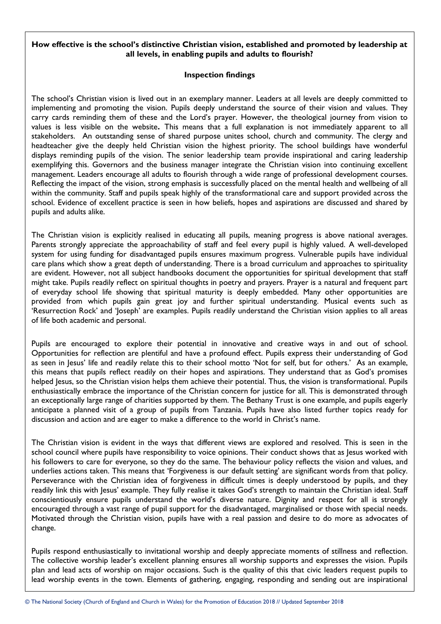#### **How effective is the school's distinctive Christian vision, established and promoted by leadership at all levels, in enabling pupils and adults to flourish?**

#### **Inspection findings**

The school's Christian vision is lived out in an exemplary manner. Leaders at all levels are deeply committed to implementing and promoting the vision. Pupils deeply understand the source of their vision and values. They carry cards reminding them of these and the Lord's prayer. However, the theological journey from vision to values is less visible on the website**.** This means that a full explanation is not immediately apparent to all stakeholders. An outstanding sense of shared purpose unites school, church and community. The clergy and headteacher give the deeply held Christian vision the highest priority. The school buildings have wonderful displays reminding pupils of the vision. The senior leadership team provide inspirational and caring leadership exemplifying this. Governors and the business manager integrate the Christian vision into continuing excellent management. Leaders encourage all adults to flourish through a wide range of professional development courses. Reflecting the impact of the vision, strong emphasis is successfully placed on the mental health and wellbeing of all within the community. Staff and pupils speak highly of the transformational care and support provided across the school. Evidence of excellent practice is seen in how beliefs, hopes and aspirations are discussed and shared by pupils and adults alike.

The Christian vision is explicitly realised in educating all pupils, meaning progress is above national averages. Parents strongly appreciate the approachability of staff and feel every pupil is highly valued. A well-developed system for using funding for disadvantaged pupils ensures maximum progress. Vulnerable pupils have individual care plans which show a great depth of understanding. There is a broad curriculum and approaches to spirituality are evident. However, not all subject handbooks document the opportunities for spiritual development that staff might take. Pupils readily reflect on spiritual thoughts in poetry and prayers. Prayer is a natural and frequent part of everyday school life showing that spiritual maturity is deeply embedded. Many other opportunities are provided from which pupils gain great joy and further spiritual understanding. Musical events such as 'Resurrection Rock' and 'Joseph' are examples. Pupils readily understand the Christian vision applies to all areas of life both academic and personal.

Pupils are encouraged to explore their potential in innovative and creative ways in and out of school. Opportunities for reflection are plentiful and have a profound effect. Pupils express their understanding of God as seen in Jesus' life and readily relate this to their school motto 'Not for self, but for others.' As an example, this means that pupils reflect readily on their hopes and aspirations. They understand that as God's promises helped Jesus, so the Christian vision helps them achieve their potential. Thus, the vision is transformational. Pupils enthusiastically embrace the importance of the Christian concern for justice for all. This is demonstrated through an exceptionally large range of charities supported by them. The Bethany Trust is one example, and pupils eagerly anticipate a planned visit of a group of pupils from Tanzania. Pupils have also listed further topics ready for discussion and action and are eager to make a difference to the world in Christ's name.

The Christian vision is evident in the ways that different views are explored and resolved. This is seen in the school council where pupils have responsibility to voice opinions. Their conduct shows that as Jesus worked with his followers to care for everyone, so they do the same. The behaviour policy reflects the vision and values, and underlies actions taken. This means that 'Forgiveness is our default setting' are significant words from that policy. Perseverance with the Christian idea of forgiveness in difficult times is deeply understood by pupils, and they readily link this with Jesus' example. They fully realise it takes God's strength to maintain the Christian ideal. Staff conscientiously ensure pupils understand the world's diverse nature. Dignity and respect for all is strongly encouraged through a vast range of pupil support for the disadvantaged, marginalised or those with special needs. Motivated through the Christian vision, pupils have with a real passion and desire to do more as advocates of change.

Pupils respond enthusiastically to invitational worship and deeply appreciate moments of stillness and reflection. The collective worship leader's excellent planning ensures all worship supports and expresses the vision. Pupils plan and lead acts of worship on major occasions. Such is the quality of this that civic leaders request pupils to lead worship events in the town. Elements of gathering, engaging, responding and sending out are inspirational